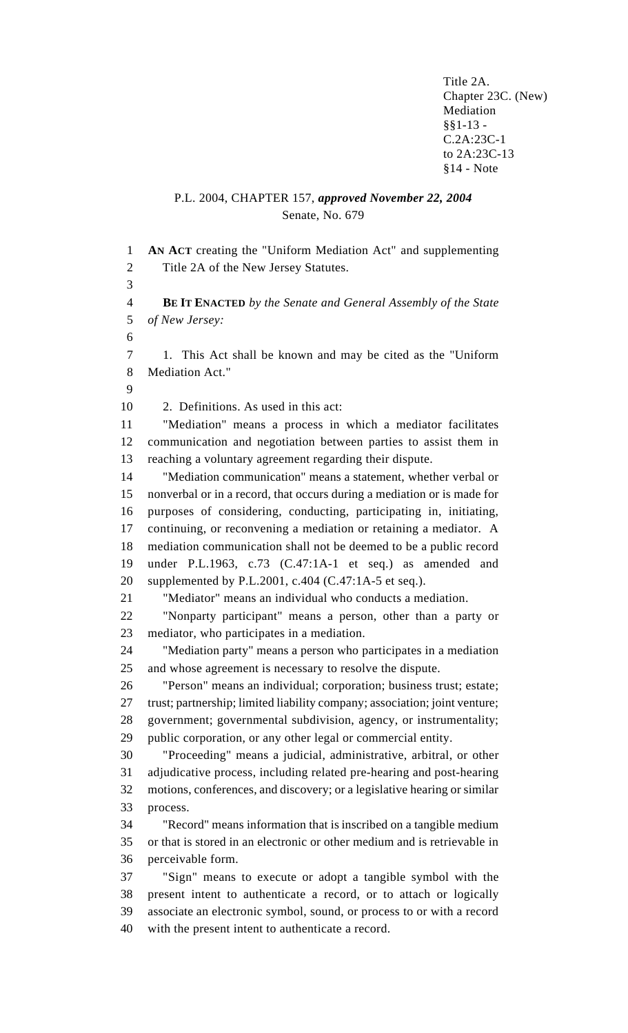Title 2A. Chapter 23C. (New) Mediation §§1-13 - C.2A:23C-1 to 2A:23C-13 §14 - Note

## P.L. 2004, CHAPTER 157, *approved November 22, 2004* Senate, No. 679

 **AN ACT** creating the "Uniform Mediation Act" and supplementing Title 2A of the New Jersey Statutes. **BE IT ENACTED** *by the Senate and General Assembly of the State of New Jersey:* 1. This Act shall be known and may be cited as the "Uniform Mediation Act." 2. Definitions. As used in this act: "Mediation" means a process in which a mediator facilitates communication and negotiation between parties to assist them in reaching a voluntary agreement regarding their dispute. "Mediation communication" means a statement, whether verbal or nonverbal or in a record, that occurs during a mediation or is made for purposes of considering, conducting, participating in, initiating, continuing, or reconvening a mediation or retaining a mediator. A mediation communication shall not be deemed to be a public record under P.L.1963, c.73 (C.47:1A-1 et seq.) as amended and supplemented by P.L.2001, c.404 (C.47:1A-5 et seq.). "Mediator" means an individual who conducts a mediation. "Nonparty participant" means a person, other than a party or mediator, who participates in a mediation. "Mediation party" means a person who participates in a mediation and whose agreement is necessary to resolve the dispute. "Person" means an individual; corporation; business trust; estate; trust; partnership; limited liability company; association; joint venture; government; governmental subdivision, agency, or instrumentality; public corporation, or any other legal or commercial entity. "Proceeding" means a judicial, administrative, arbitral, or other adjudicative process, including related pre-hearing and post-hearing motions, conferences, and discovery; or a legislative hearing or similar process. "Record" means information that is inscribed on a tangible medium or that is stored in an electronic or other medium and is retrievable in perceivable form. "Sign" means to execute or adopt a tangible symbol with the present intent to authenticate a record, or to attach or logically associate an electronic symbol, sound, or process to or with a record with the present intent to authenticate a record.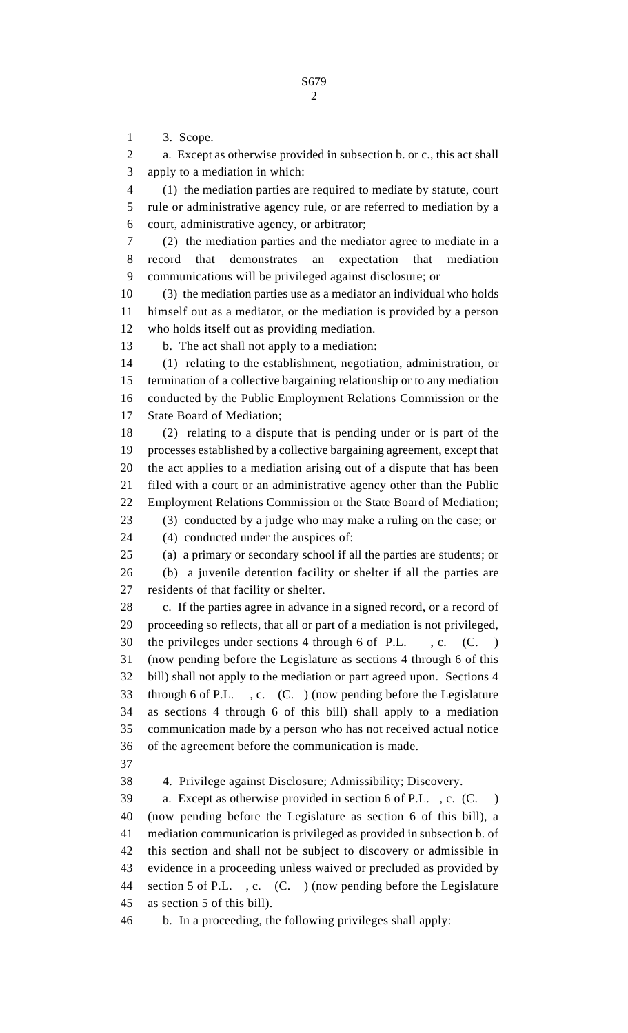3. Scope.

 a. Except as otherwise provided in subsection b. or c., this act shall apply to a mediation in which:

 (1) the mediation parties are required to mediate by statute, court rule or administrative agency rule, or are referred to mediation by a court, administrative agency, or arbitrator;

 (2) the mediation parties and the mediator agree to mediate in a record that demonstrates an expectation that mediation communications will be privileged against disclosure; or

 (3) the mediation parties use as a mediator an individual who holds himself out as a mediator, or the mediation is provided by a person who holds itself out as providing mediation.

b. The act shall not apply to a mediation:

 (1) relating to the establishment, negotiation, administration, or termination of a collective bargaining relationship or to any mediation conducted by the Public Employment Relations Commission or the State Board of Mediation;

 (2) relating to a dispute that is pending under or is part of the processes established by a collective bargaining agreement, except that the act applies to a mediation arising out of a dispute that has been filed with a court or an administrative agency other than the Public Employment Relations Commission or the State Board of Mediation; (3) conducted by a judge who may make a ruling on the case; or

(4) conducted under the auspices of:

(a) a primary or secondary school if all the parties are students; or

 (b) a juvenile detention facility or shelter if all the parties are residents of that facility or shelter.

28 c. If the parties agree in advance in a signed record, or a record of proceeding so reflects, that all or part of a mediation is not privileged, 30 the privileges under sections 4 through 6 of P.L., c. (C.) (now pending before the Legislature as sections 4 through 6 of this bill) shall not apply to the mediation or part agreed upon. Sections 4 through 6 of P.L. , c. (C. ) (now pending before the Legislature as sections 4 through 6 of this bill) shall apply to a mediation communication made by a person who has not received actual notice of the agreement before the communication is made.

4. Privilege against Disclosure; Admissibility; Discovery.

 a. Except as otherwise provided in section 6 of P.L. , c. (C. ) (now pending before the Legislature as section 6 of this bill), a mediation communication is privileged as provided in subsection b. of this section and shall not be subject to discovery or admissible in evidence in a proceeding unless waived or precluded as provided by section 5 of P.L. , c. (C. ) (now pending before the Legislature as section 5 of this bill).

b. In a proceeding, the following privileges shall apply: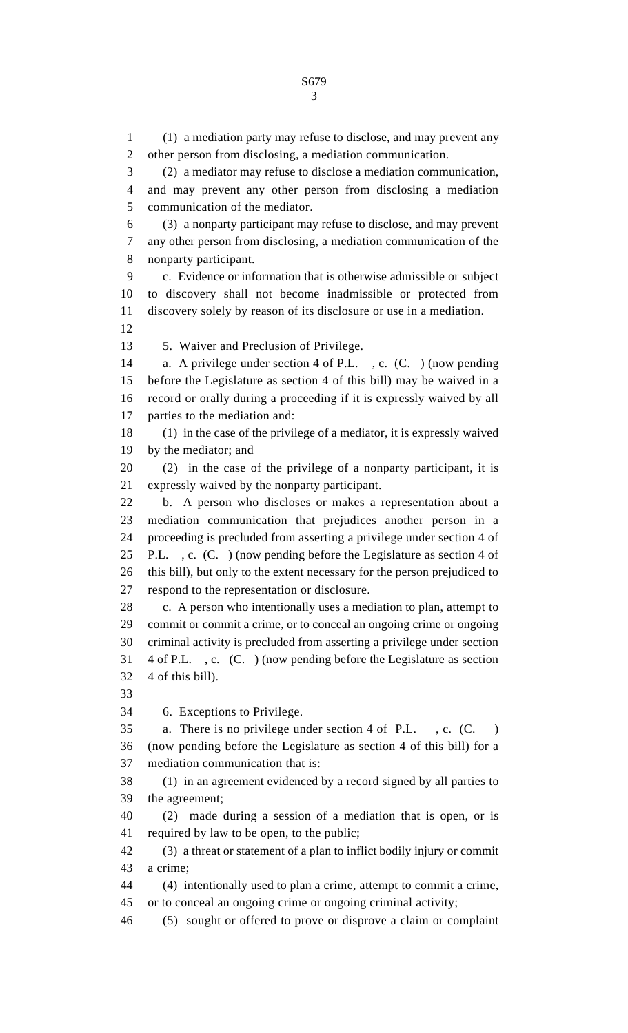(1) a mediation party may refuse to disclose, and may prevent any other person from disclosing, a mediation communication. (2) a mediator may refuse to disclose a mediation communication, and may prevent any other person from disclosing a mediation communication of the mediator. (3) a nonparty participant may refuse to disclose, and may prevent any other person from disclosing, a mediation communication of the nonparty participant. c. Evidence or information that is otherwise admissible or subject to discovery shall not become inadmissible or protected from discovery solely by reason of its disclosure or use in a mediation. 5. Waiver and Preclusion of Privilege. a. A privilege under section 4 of P.L. , c. (C. ) (now pending before the Legislature as section 4 of this bill) may be waived in a record or orally during a proceeding if it is expressly waived by all parties to the mediation and: (1) in the case of the privilege of a mediator, it is expressly waived by the mediator; and (2) in the case of the privilege of a nonparty participant, it is expressly waived by the nonparty participant. b. A person who discloses or makes a representation about a mediation communication that prejudices another person in a proceeding is precluded from asserting a privilege under section 4 of P.L. , c. (C. ) (now pending before the Legislature as section 4 of this bill), but only to the extent necessary for the person prejudiced to respond to the representation or disclosure. 28 c. A person who intentionally uses a mediation to plan, attempt to commit or commit a crime, or to conceal an ongoing crime or ongoing criminal activity is precluded from asserting a privilege under section 4 of P.L. , c. (C. ) (now pending before the Legislature as section 4 of this bill). 6. Exceptions to Privilege. a. There is no privilege under section 4 of P.L. , c. (C. ) (now pending before the Legislature as section 4 of this bill) for a mediation communication that is: (1) in an agreement evidenced by a record signed by all parties to the agreement; (2) made during a session of a mediation that is open, or is required by law to be open, to the public; (3) a threat or statement of a plan to inflict bodily injury or commit a crime; (4) intentionally used to plan a crime, attempt to commit a crime, or to conceal an ongoing crime or ongoing criminal activity; (5) sought or offered to prove or disprove a claim or complaint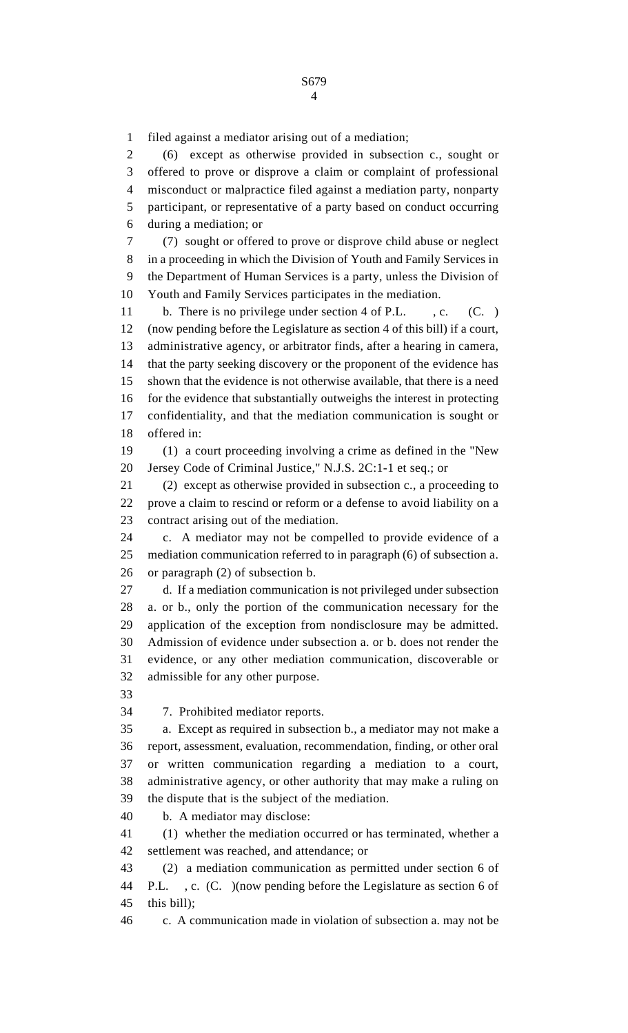filed against a mediator arising out of a mediation; (6) except as otherwise provided in subsection c., sought or offered to prove or disprove a claim or complaint of professional misconduct or malpractice filed against a mediation party, nonparty participant, or representative of a party based on conduct occurring during a mediation; or (7) sought or offered to prove or disprove child abuse or neglect in a proceeding in which the Division of Youth and Family Services in the Department of Human Services is a party, unless the Division of Youth and Family Services participates in the mediation. 11 b. There is no privilege under section 4 of P.L., c. (C.) (now pending before the Legislature as section 4 of this bill) if a court, administrative agency, or arbitrator finds, after a hearing in camera, that the party seeking discovery or the proponent of the evidence has shown that the evidence is not otherwise available, that there is a need for the evidence that substantially outweighs the interest in protecting confidentiality, and that the mediation communication is sought or offered in: (1) a court proceeding involving a crime as defined in the "New Jersey Code of Criminal Justice," N.J.S. 2C:1-1 et seq.; or (2) except as otherwise provided in subsection c., a proceeding to prove a claim to rescind or reform or a defense to avoid liability on a contract arising out of the mediation. c. A mediator may not be compelled to provide evidence of a mediation communication referred to in paragraph (6) of subsection a. or paragraph (2) of subsection b. d. If a mediation communication is not privileged under subsection a. or b., only the portion of the communication necessary for the application of the exception from nondisclosure may be admitted. Admission of evidence under subsection a. or b. does not render the evidence, or any other mediation communication, discoverable or admissible for any other purpose. 7. Prohibited mediator reports. a. Except as required in subsection b., a mediator may not make a report, assessment, evaluation, recommendation, finding, or other oral or written communication regarding a mediation to a court, administrative agency, or other authority that may make a ruling on the dispute that is the subject of the mediation. b. A mediator may disclose: (1) whether the mediation occurred or has terminated, whether a settlement was reached, and attendance; or (2) a mediation communication as permitted under section 6 of P.L. , c. (C. )(now pending before the Legislature as section 6 of this bill); c. A communication made in violation of subsection a. may not be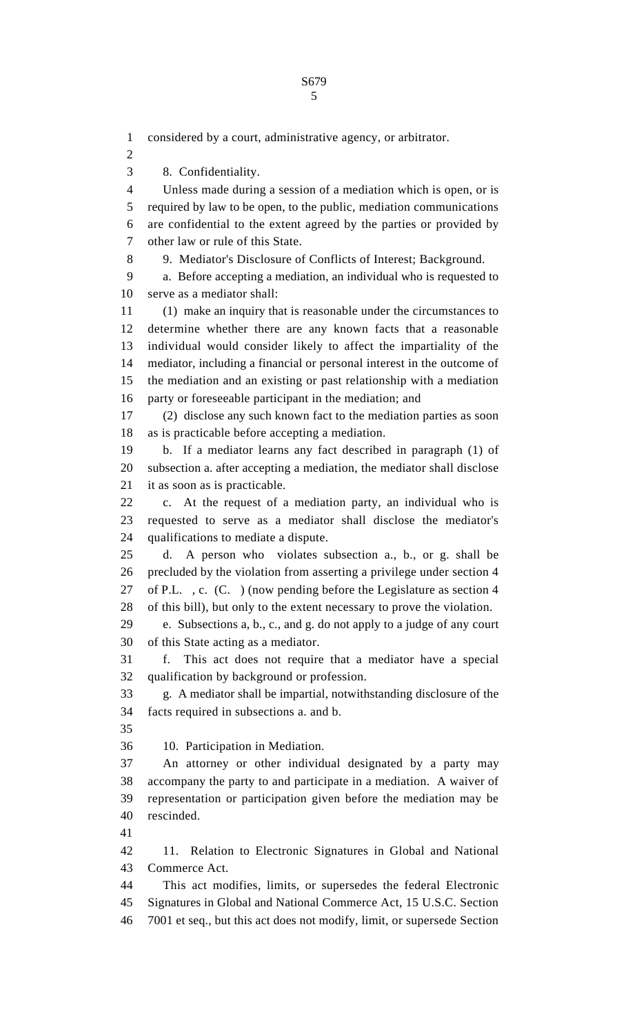considered by a court, administrative agency, or arbitrator.

8. Confidentiality.

 Unless made during a session of a mediation which is open, or is required by law to be open, to the public, mediation communications are confidential to the extent agreed by the parties or provided by other law or rule of this State.

9. Mediator's Disclosure of Conflicts of Interest; Background.

 a. Before accepting a mediation, an individual who is requested to serve as a mediator shall:

 (1) make an inquiry that is reasonable under the circumstances to determine whether there are any known facts that a reasonable individual would consider likely to affect the impartiality of the mediator, including a financial or personal interest in the outcome of the mediation and an existing or past relationship with a mediation party or foreseeable participant in the mediation; and

 (2) disclose any such known fact to the mediation parties as soon as is practicable before accepting a mediation.

 b. If a mediator learns any fact described in paragraph (1) of subsection a. after accepting a mediation, the mediator shall disclose it as soon as is practicable.

 c. At the request of a mediation party, an individual who is requested to serve as a mediator shall disclose the mediator's qualifications to mediate a dispute.

 d. A person who violates subsection a., b., or g. shall be precluded by the violation from asserting a privilege under section 4 of P.L. , c. (C. ) (now pending before the Legislature as section 4 of this bill), but only to the extent necessary to prove the violation.

 e. Subsections a, b., c., and g. do not apply to a judge of any court of this State acting as a mediator.

 f. This act does not require that a mediator have a special qualification by background or profession.

 g. A mediator shall be impartial, notwithstanding disclosure of the facts required in subsections a. and b.

10. Participation in Mediation.

 An attorney or other individual designated by a party may accompany the party to and participate in a mediation. A waiver of representation or participation given before the mediation may be rescinded.

 11. Relation to Electronic Signatures in Global and National Commerce Act.

 This act modifies, limits, or supersedes the federal Electronic Signatures in Global and National Commerce Act, 15 U.S.C. Section 7001 et seq., but this act does not modify, limit, or supersede Section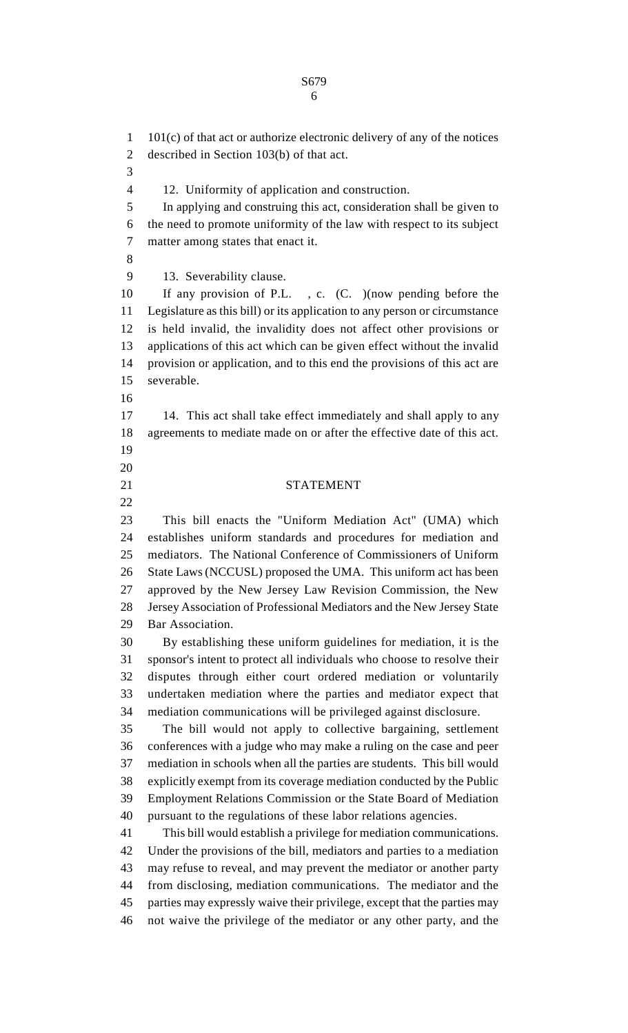101(c) of that act or authorize electronic delivery of any of the notices described in Section 103(b) of that act. 12. Uniformity of application and construction. In applying and construing this act, consideration shall be given to the need to promote uniformity of the law with respect to its subject matter among states that enact it. 13. Severability clause. If any provision of P.L. , c. (C. )(now pending before the Legislature as this bill) or its application to any person or circumstance is held invalid, the invalidity does not affect other provisions or applications of this act which can be given effect without the invalid provision or application, and to this end the provisions of this act are severable. 17 14. This act shall take effect immediately and shall apply to any agreements to mediate made on or after the effective date of this act. STATEMENT This bill enacts the "Uniform Mediation Act" (UMA) which establishes uniform standards and procedures for mediation and mediators. The National Conference of Commissioners of Uniform State Laws (NCCUSL) proposed the UMA. This uniform act has been approved by the New Jersey Law Revision Commission, the New Jersey Association of Professional Mediators and the New Jersey State Bar Association. By establishing these uniform guidelines for mediation, it is the sponsor's intent to protect all individuals who choose to resolve their disputes through either court ordered mediation or voluntarily undertaken mediation where the parties and mediator expect that mediation communications will be privileged against disclosure. The bill would not apply to collective bargaining, settlement conferences with a judge who may make a ruling on the case and peer mediation in schools when all the parties are students. This bill would explicitly exempt from its coverage mediation conducted by the Public Employment Relations Commission or the State Board of Mediation pursuant to the regulations of these labor relations agencies. This bill would establish a privilege for mediation communications. Under the provisions of the bill, mediators and parties to a mediation may refuse to reveal, and may prevent the mediator or another party from disclosing, mediation communications. The mediator and the parties may expressly waive their privilege, except that the parties may not waive the privilege of the mediator or any other party, and the